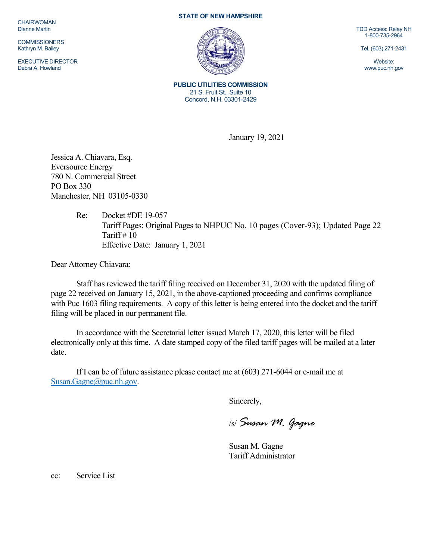**CHAIRWOMAN** Dianne Martin

**COMMISSIONERS** Kathryn M. Bailey

EXECUTIVE DIRECTOR Debra A. Howland

## **STATE OF NEW HAMPSHIRE**



TDD Access: Relay NH 1-800-735-2964

Tel. (603) 271-2431

Website: www.puc.nh.gov

**PUBLIC UTILITIES COMMISSION**  21 S. Fruit St., Suite 10 Concord, N.H. 03301-2429

January 19, 2021

Jessica A. Chiavara, Esq. Eversource Energy 780 N. Commercial Street PO Box 330 Manchester, NH 03105-0330

> Re: Docket #DE 19-057 Tariff Pages: Original Pages to NHPUC No. 10 pages (Cover-93); Updated Page 22 Tariff  $# 10$ Effective Date: January 1, 2021

Dear Attorney Chiavara:

Staff has reviewed the tariff filing received on December 31, 2020 with the updated filing of page 22 received on January 15, 2021, in the above-captioned proceeding and confirms compliance with Puc 1603 filing requirements. A copy of this letter is being entered into the docket and the tariff filing will be placed in our permanent file.

In accordance with the Secretarial letter issued March 17, 2020, this letter will be filed electronically only at this time. A date stamped copy of the filed tariff pages will be mailed at a later date.

If I can be of future assistance please contact me at (603) 271-6044 or e-mail me at Susan.Gagne@puc.nh.gov.

Sincerely,

/s/ *Susan M. Gagne*

Susan M. Gagne Tariff Administrator

cc: Service List